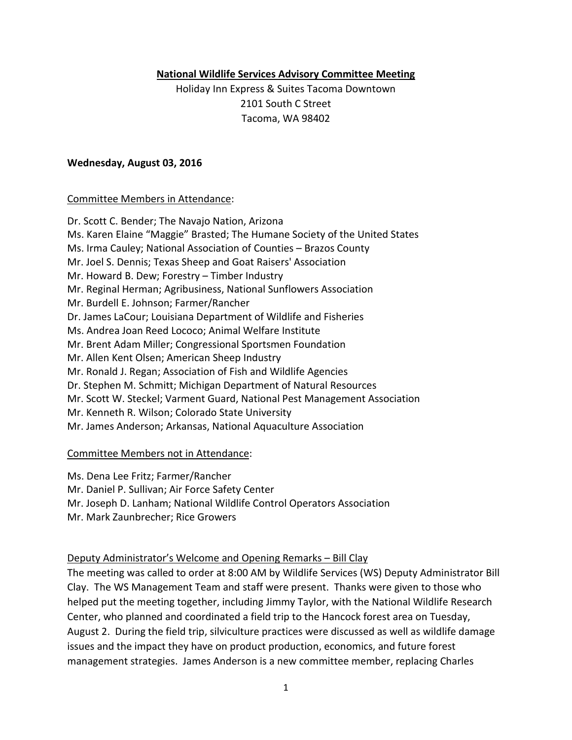#### **National Wildlife Services Advisory Committee Meeting**

Holiday Inn Express & Suites Tacoma Downtown 2101 South C Street Tacoma, WA 98402

#### **Wednesday, August 03, 2016**

#### Committee Members in Attendance:

Dr. Scott C. Bender; The Navajo Nation, Arizona Ms. Karen Elaine "Maggie" Brasted; The Humane Society of the United States Ms. Irma Cauley; National Association of Counties – Brazos County Mr. Joel S. Dennis; Texas Sheep and Goat Raisers' Association Mr. Howard B. Dew; Forestry – Timber Industry Mr. Reginal Herman; Agribusiness, National Sunflowers Association Mr. Burdell E. Johnson; Farmer/Rancher Dr. James LaCour; Louisiana Department of Wildlife and Fisheries Ms. Andrea Joan Reed Lococo; Animal Welfare Institute Mr. Brent Adam Miller; Congressional Sportsmen Foundation Mr. Allen Kent Olsen; American Sheep Industry Mr. Ronald J. Regan; Association of Fish and Wildlife Agencies Dr. Stephen M. Schmitt; Michigan Department of Natural Resources Mr. Scott W. Steckel; Varment Guard, National Pest Management Association Mr. Kenneth R. Wilson; Colorado State University Mr. James Anderson; Arkansas, National Aquaculture Association

#### Committee Members not in Attendance:

Ms. Dena Lee Fritz; Farmer/Rancher

Mr. Daniel P. Sullivan; Air Force Safety Center

Mr. Joseph D. Lanham; National Wildlife Control Operators Association

Mr. Mark Zaunbrecher; Rice Growers

# Deputy Administrator's Welcome and Opening Remarks – Bill Clay

The meeting was called to order at 8:00 AM by Wildlife Services (WS) Deputy Administrator Bill Clay. The WS Management Team and staff were present. Thanks were given to those who helped put the meeting together, including Jimmy Taylor, with the National Wildlife Research Center, who planned and coordinated a field trip to the Hancock forest area on Tuesday, August 2. During the field trip, silviculture practices were discussed as well as wildlife damage issues and the impact they have on product production, economics, and future forest management strategies. James Anderson is a new committee member, replacing Charles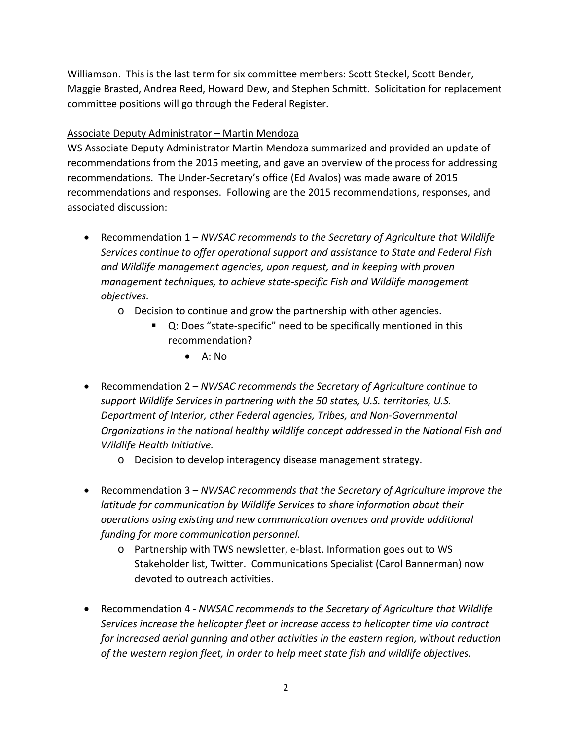Williamson. This is the last term for six committee members: Scott Steckel, Scott Bender, Maggie Brasted, Andrea Reed, Howard Dew, and Stephen Schmitt. Solicitation for replacement committee positions will go through the Federal Register.

### Associate Deputy Administrator – Martin Mendoza

WS Associate Deputy Administrator Martin Mendoza summarized and provided an update of recommendations from the 2015 meeting, and gave an overview of the process for addressing recommendations. The Under-Secretary's office (Ed Avalos) was made aware of 2015 recommendations and responses. Following are the 2015 recommendations, responses, and associated discussion:

- Recommendation 1 *NWSAC recommends to the Secretary of Agriculture that Wildlife Services continue to offer operational support and assistance to State and Federal Fish and Wildlife management agencies, upon request, and in keeping with proven management techniques, to achieve state-specific Fish and Wildlife management objectives.*
	- o Decision to continue and grow the partnership with other agencies.
		- Q: Does "state-specific" need to be specifically mentioned in this recommendation?
			- $\bullet$  A: No
- Recommendation 2 *NWSAC recommends the Secretary of Agriculture continue to support Wildlife Services in partnering with the 50 states, U.S. territories, U.S. Department of Interior, other Federal agencies, Tribes, and Non-Governmental Organizations in the national healthy wildlife concept addressed in the National Fish and Wildlife Health Initiative.*
	- o Decision to develop interagency disease management strategy.
- Recommendation 3 *NWSAC recommends that the Secretary of Agriculture improve the latitude for communication by Wildlife Services to share information about their operations using existing and new communication avenues and provide additional funding for more communication personnel.*
	- o Partnership with TWS newsletter, e-blast. Information goes out to WS Stakeholder list, Twitter. Communications Specialist (Carol Bannerman) now devoted to outreach activities.
- Recommendation 4 *NWSAC recommends to the Secretary of Agriculture that Wildlife Services increase the helicopter fleet or increase access to helicopter time via contract for increased aerial gunning and other activities in the eastern region, without reduction of the western region fleet, in order to help meet state fish and wildlife objectives.*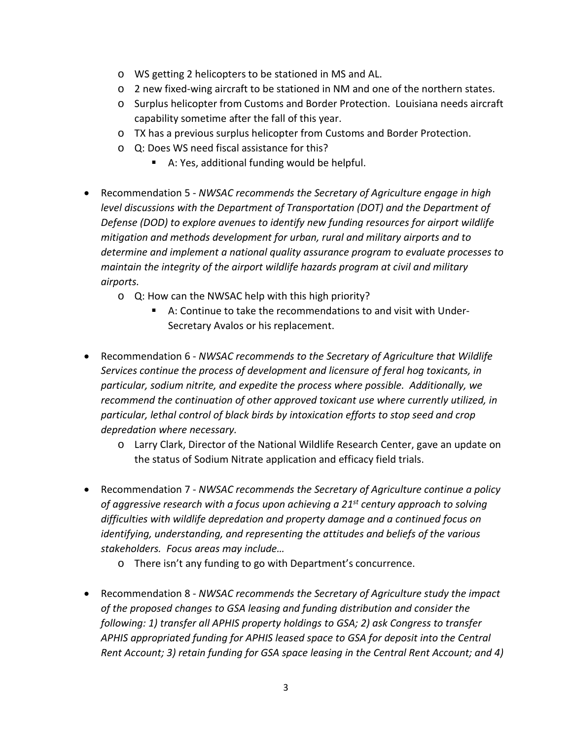- o WS getting 2 helicopters to be stationed in MS and AL.
- o 2 new fixed-wing aircraft to be stationed in NM and one of the northern states.
- o Surplus helicopter from Customs and Border Protection. Louisiana needs aircraft capability sometime after the fall of this year.
- o TX has a previous surplus helicopter from Customs and Border Protection.
- o Q: Does WS need fiscal assistance for this?
	- A: Yes, additional funding would be helpful.
- Recommendation 5 *NWSAC recommends the Secretary of Agriculture engage in high level discussions with the Department of Transportation (DOT) and the Department of Defense (DOD) to explore avenues to identify new funding resources for airport wildlife mitigation and methods development for urban, rural and military airports and to determine and implement a national quality assurance program to evaluate processes to maintain the integrity of the airport wildlife hazards program at civil and military airports.*
	- o Q: How can the NWSAC help with this high priority?
		- A: Continue to take the recommendations to and visit with Under-Secretary Avalos or his replacement.
- Recommendation 6 *NWSAC recommends to the Secretary of Agriculture that Wildlife Services continue the process of development and licensure of feral hog toxicants, in particular, sodium nitrite, and expedite the process where possible. Additionally, we recommend the continuation of other approved toxicant use where currently utilized, in particular, lethal control of black birds by intoxication efforts to stop seed and crop depredation where necessary.*
	- o Larry Clark, Director of the National Wildlife Research Center, gave an update on the status of Sodium Nitrate application and efficacy field trials.
- Recommendation 7 *NWSAC recommends the Secretary of Agriculture continue a policy of aggressive research with a focus upon achieving a 21st century approach to solving difficulties with wildlife depredation and property damage and a continued focus on identifying, understanding, and representing the attitudes and beliefs of the various stakeholders. Focus areas may include…*
	- o There isn't any funding to go with Department's concurrence.
- Recommendation 8 *NWSAC recommends the Secretary of Agriculture study the impact of the proposed changes to GSA leasing and funding distribution and consider the following: 1) transfer all APHIS property holdings to GSA; 2) ask Congress to transfer APHIS appropriated funding for APHIS leased space to GSA for deposit into the Central Rent Account; 3) retain funding for GSA space leasing in the Central Rent Account; and 4)*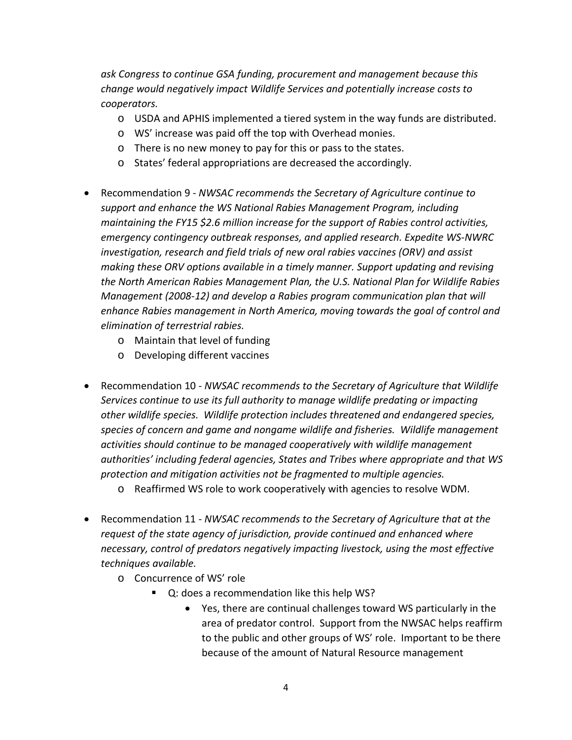*ask Congress to continue GSA funding, procurement and management because this change would negatively impact Wildlife Services and potentially increase costs to cooperators.*

- o USDA and APHIS implemented a tiered system in the way funds are distributed.
- o WS' increase was paid off the top with Overhead monies.
- o There is no new money to pay for this or pass to the states.
- o States' federal appropriations are decreased the accordingly.
- Recommendation 9 *NWSAC recommends the Secretary of Agriculture continue to support and enhance the WS National Rabies Management Program, including maintaining the FY15 \$2.6 million increase for the support of Rabies control activities, emergency contingency outbreak responses, and applied research. Expedite WS-NWRC investigation, research and field trials of new oral rabies vaccines (ORV) and assist making these ORV options available in a timely manner. Support updating and revising the North American Rabies Management Plan, the U.S. National Plan for Wildlife Rabies Management (2008-12) and develop a Rabies program communication plan that will enhance Rabies management in North America, moving towards the goal of control and elimination of terrestrial rabies.*
	- o Maintain that level of funding
	- o Developing different vaccines
- Recommendation 10 *NWSAC recommends to the Secretary of Agriculture that Wildlife Services continue to use its full authority to manage wildlife predating or impacting other wildlife species. Wildlife protection includes threatened and endangered species, species of concern and game and nongame wildlife and fisheries. Wildlife management activities should continue to be managed cooperatively with wildlife management authorities' including federal agencies, States and Tribes where appropriate and that WS protection and mitigation activities not be fragmented to multiple agencies.*
	- o Reaffirmed WS role to work cooperatively with agencies to resolve WDM.
- Recommendation 11 *NWSAC recommends to the Secretary of Agriculture that at the request of the state agency of jurisdiction, provide continued and enhanced where necessary, control of predators negatively impacting livestock, using the most effective techniques available.*
	- o Concurrence of WS' role
		- Q: does a recommendation like this help WS?
			- Yes, there are continual challenges toward WS particularly in the area of predator control. Support from the NWSAC helps reaffirm to the public and other groups of WS' role. Important to be there because of the amount of Natural Resource management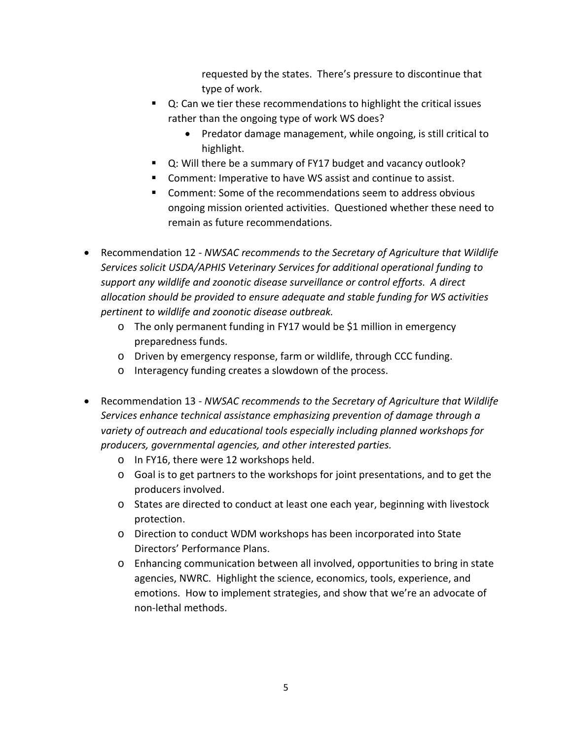requested by the states. There's pressure to discontinue that type of work.

- Q: Can we tier these recommendations to highlight the critical issues rather than the ongoing type of work WS does?
	- Predator damage management, while ongoing, is still critical to highlight.
- Q: Will there be a summary of FY17 budget and vacancy outlook?
- Comment: Imperative to have WS assist and continue to assist.
- Comment: Some of the recommendations seem to address obvious ongoing mission oriented activities. Questioned whether these need to remain as future recommendations.
- Recommendation 12 *NWSAC recommends to the Secretary of Agriculture that Wildlife Services solicit USDA/APHIS Veterinary Services for additional operational funding to support any wildlife and zoonotic disease surveillance or control efforts. A direct allocation should be provided to ensure adequate and stable funding for WS activities pertinent to wildlife and zoonotic disease outbreak.*
	- o The only permanent funding in FY17 would be \$1 million in emergency preparedness funds.
	- o Driven by emergency response, farm or wildlife, through CCC funding.
	- o Interagency funding creates a slowdown of the process.
- Recommendation 13 *NWSAC recommends to the Secretary of Agriculture that Wildlife Services enhance technical assistance emphasizing prevention of damage through a variety of outreach and educational tools especially including planned workshops for producers, governmental agencies, and other interested parties.*
	- o In FY16, there were 12 workshops held.
	- $\circ$  Goal is to get partners to the workshops for joint presentations, and to get the producers involved.
	- o States are directed to conduct at least one each year, beginning with livestock protection.
	- o Direction to conduct WDM workshops has been incorporated into State Directors' Performance Plans.
	- o Enhancing communication between all involved, opportunities to bring in state agencies, NWRC. Highlight the science, economics, tools, experience, and emotions. How to implement strategies, and show that we're an advocate of non-lethal methods.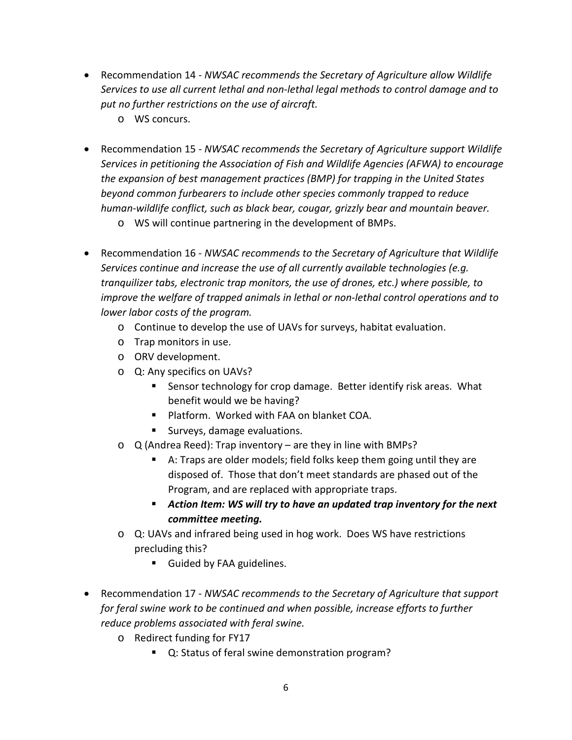- Recommendation 14 *NWSAC recommends the Secretary of Agriculture allow Wildlife Services to use all current lethal and non-lethal legal methods to control damage and to put no further restrictions on the use of aircraft.*
	- o WS concurs.
- Recommendation 15 *NWSAC recommends the Secretary of Agriculture support Wildlife Services in petitioning the Association of Fish and Wildlife Agencies (AFWA) to encourage the expansion of best management practices (BMP) for trapping in the United States beyond common furbearers to include other species commonly trapped to reduce human-wildlife conflict, such as black bear, cougar, grizzly bear and mountain beaver.*
	- o WS will continue partnering in the development of BMPs.
- Recommendation 16 *NWSAC recommends to the Secretary of Agriculture that Wildlife Services continue and increase the use of all currently available technologies (e.g. tranquilizer tabs, electronic trap monitors, the use of drones, etc.) where possible, to improve the welfare of trapped animals in lethal or non-lethal control operations and to lower labor costs of the program.*
	- o Continue to develop the use of UAVs for surveys, habitat evaluation.
	- o Trap monitors in use.
	- o ORV development.
	- o Q: Any specifics on UAVs?
		- **Sensor technology for crop damage. Better identify risk areas. What** benefit would we be having?
		- **Platform. Worked with FAA on blanket COA.**
		- **Surveys, damage evaluations.**
	- o Q (Andrea Reed): Trap inventory are they in line with BMPs?
		- A: Traps are older models; field folks keep them going until they are disposed of. Those that don't meet standards are phased out of the Program, and are replaced with appropriate traps.
		- *Action Item: WS will try to have an updated trap inventory for the next committee meeting.*
	- o Q: UAVs and infrared being used in hog work. Does WS have restrictions precluding this?
		- **Guided by FAA guidelines.**
- Recommendation 17 *NWSAC recommends to the Secretary of Agriculture that support for feral swine work to be continued and when possible, increase efforts to further reduce problems associated with feral swine.*
	- o Redirect funding for FY17
		- Q: Status of feral swine demonstration program?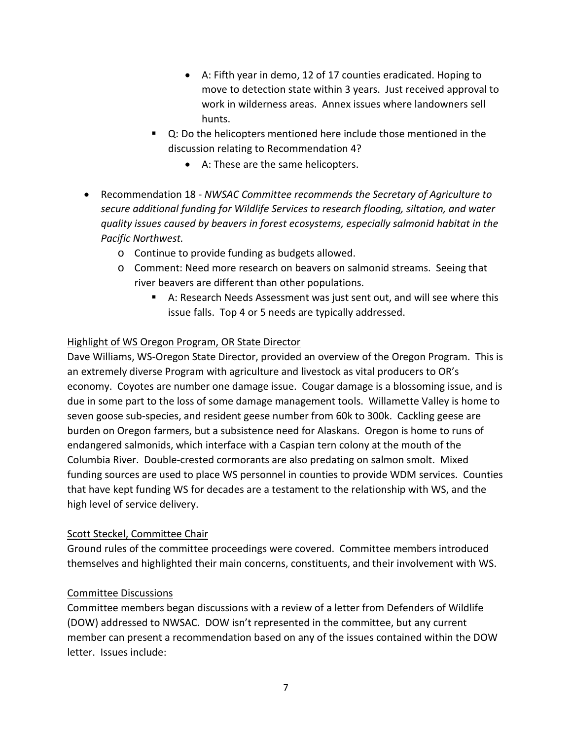- A: Fifth year in demo, 12 of 17 counties eradicated. Hoping to move to detection state within 3 years. Just received approval to work in wilderness areas. Annex issues where landowners sell hunts.
- Q: Do the helicopters mentioned here include those mentioned in the discussion relating to Recommendation 4?
	- A: These are the same helicopters.
- Recommendation 18 *NWSAC Committee recommends the Secretary of Agriculture to secure additional funding for Wildlife Services to research flooding, siltation, and water quality issues caused by beavers in forest ecosystems, especially salmonid habitat in the Pacific Northwest.*
	- o Continue to provide funding as budgets allowed.
	- o Comment: Need more research on beavers on salmonid streams. Seeing that river beavers are different than other populations.
		- A: Research Needs Assessment was just sent out, and will see where this issue falls. Top 4 or 5 needs are typically addressed.

# Highlight of WS Oregon Program, OR State Director

Dave Williams, WS-Oregon State Director, provided an overview of the Oregon Program. This is an extremely diverse Program with agriculture and livestock as vital producers to OR's economy. Coyotes are number one damage issue. Cougar damage is a blossoming issue, and is due in some part to the loss of some damage management tools. Willamette Valley is home to seven goose sub-species, and resident geese number from 60k to 300k. Cackling geese are burden on Oregon farmers, but a subsistence need for Alaskans. Oregon is home to runs of endangered salmonids, which interface with a Caspian tern colony at the mouth of the Columbia River. Double-crested cormorants are also predating on salmon smolt. Mixed funding sources are used to place WS personnel in counties to provide WDM services. Counties that have kept funding WS for decades are a testament to the relationship with WS, and the high level of service delivery.

# Scott Steckel, Committee Chair

Ground rules of the committee proceedings were covered. Committee members introduced themselves and highlighted their main concerns, constituents, and their involvement with WS.

# Committee Discussions

Committee members began discussions with a review of a letter from Defenders of Wildlife (DOW) addressed to NWSAC. DOW isn't represented in the committee, but any current member can present a recommendation based on any of the issues contained within the DOW letter. Issues include: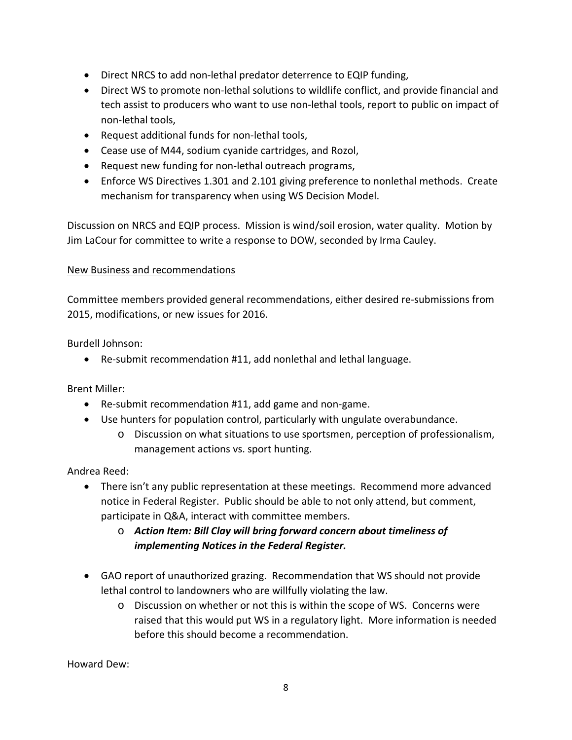- Direct NRCS to add non-lethal predator deterrence to EQIP funding,
- Direct WS to promote non-lethal solutions to wildlife conflict, and provide financial and tech assist to producers who want to use non-lethal tools, report to public on impact of non-lethal tools,
- Request additional funds for non-lethal tools,
- Cease use of M44, sodium cyanide cartridges, and Rozol,
- Request new funding for non-lethal outreach programs,
- Enforce WS Directives 1.301 and 2.101 giving preference to nonlethal methods. Create mechanism for transparency when using WS Decision Model.

Discussion on NRCS and EQIP process. Mission is wind/soil erosion, water quality. Motion by Jim LaCour for committee to write a response to DOW, seconded by Irma Cauley.

# New Business and recommendations

Committee members provided general recommendations, either desired re-submissions from 2015, modifications, or new issues for 2016.

Burdell Johnson:

• Re-submit recommendation #11, add nonlethal and lethal language.

Brent Miller:

- Re-submit recommendation #11, add game and non-game.
- Use hunters for population control, particularly with ungulate overabundance.
	- o Discussion on what situations to use sportsmen, perception of professionalism, management actions vs. sport hunting.

Andrea Reed:

- There isn't any public representation at these meetings. Recommend more advanced notice in Federal Register. Public should be able to not only attend, but comment, participate in Q&A, interact with committee members.
	- o *Action Item: Bill Clay will bring forward concern about timeliness of implementing Notices in the Federal Register.*
- GAO report of unauthorized grazing. Recommendation that WS should not provide lethal control to landowners who are willfully violating the law.
	- o Discussion on whether or not this is within the scope of WS. Concerns were raised that this would put WS in a regulatory light. More information is needed before this should become a recommendation.

Howard Dew: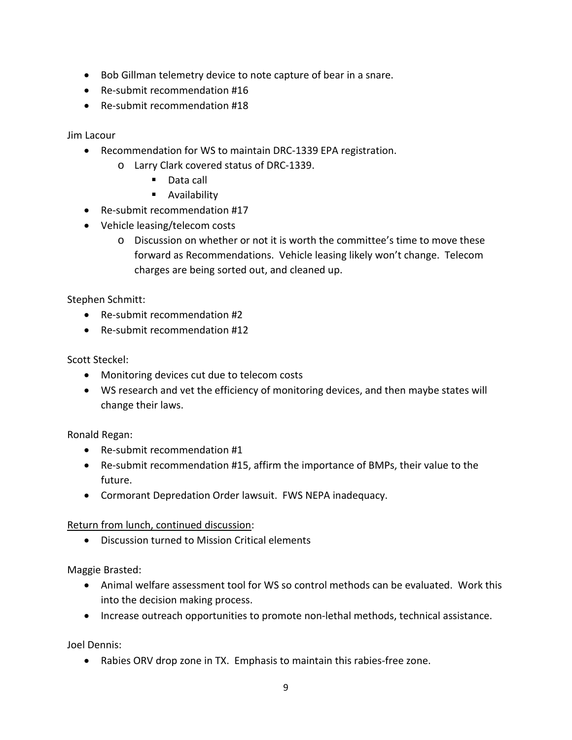- Bob Gillman telemetry device to note capture of bear in a snare.
- Re-submit recommendation #16
- Re-submit recommendation #18

Jim Lacour

- Recommendation for WS to maintain DRC-1339 EPA registration.
	- o Larry Clark covered status of DRC-1339.
		- Data call
		- **Availability**
- Re-submit recommendation #17
- Vehicle leasing/telecom costs
	- o Discussion on whether or not it is worth the committee's time to move these forward as Recommendations. Vehicle leasing likely won't change. Telecom charges are being sorted out, and cleaned up.

Stephen Schmitt:

- Re-submit recommendation #2
- Re-submit recommendation #12

Scott Steckel:

- Monitoring devices cut due to telecom costs
- WS research and vet the efficiency of monitoring devices, and then maybe states will change their laws.

Ronald Regan:

- Re-submit recommendation #1
- Re-submit recommendation #15, affirm the importance of BMPs, their value to the future.
- Cormorant Depredation Order lawsuit. FWS NEPA inadequacy.

Return from lunch, continued discussion:

• Discussion turned to Mission Critical elements

Maggie Brasted:

- Animal welfare assessment tool for WS so control methods can be evaluated. Work this into the decision making process.
- Increase outreach opportunities to promote non-lethal methods, technical assistance.

Joel Dennis:

• Rabies ORV drop zone in TX. Emphasis to maintain this rabies-free zone.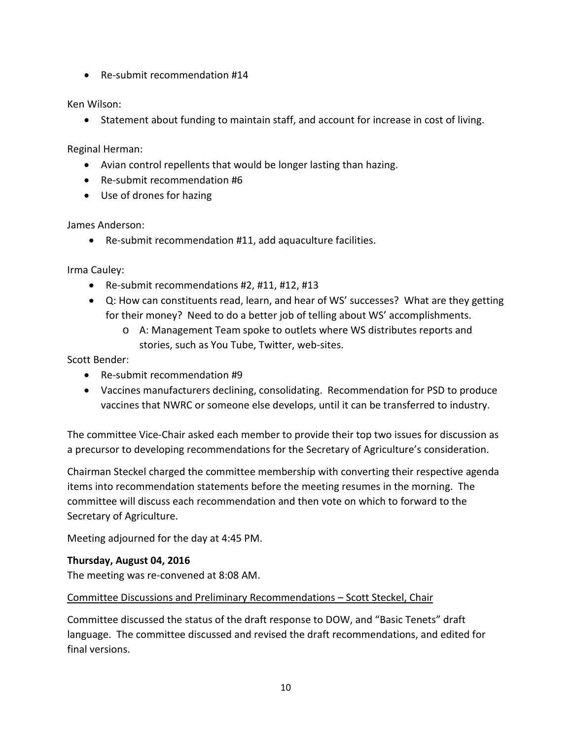• Re-submit recommendation #14

Ken Wilson:

• Statement about funding to maintain staff, and account for increase in cost of living.

Reginal Herman:

- Avian control repellents that would be longer lasting than hazing.
- Re-submit recommendation #6
- Use of drones for hazing

James Anderson:

• Re-submit recommendation #11, add aquaculture facilities.

Irma Cauley:

- Re-submit recommendations #2, #11, #12, #13
- Q: How can constituents read, learn, and hear of WS' successes? What are they getting for their money? Need to do a better job of telling about WS' accomplishments.
	- o A: Management Team spoke to outlets where WS distributes reports and stories, such as You Tube, Twitter, web-sites.

Scott Bender:

- Re-submit recommendation #9
- Vaccines manufacturers declining, consolidating. Recommendation for PSD to produce vaccines that NWRC or someone else develops, until it can be transferred to industry.

The committee Vice-Chair asked each member to provide their top two issues for discussion as a precursor to developing recommendations for the Secretary of Agriculture's consideration.

Chairman Steckel charged the committee membership with converting their respective agenda items into recommendation statements before the meeting resumes in the morning. The committee will discuss each recommendation and then vote on which to forward to the Secretary of Agriculture.

Meeting adjourned for the day at 4:45 PM.

# **Thursday, August 04, 2016**

The meeting was re-convened at 8:08 AM.

# Committee Discussions and Preliminary Recommendations – Scott Steckel, Chair

Committee discussed the status of the draft response to DOW, and "Basic Tenets" draft language. The committee discussed and revised the draft recommendations, and edited for final versions.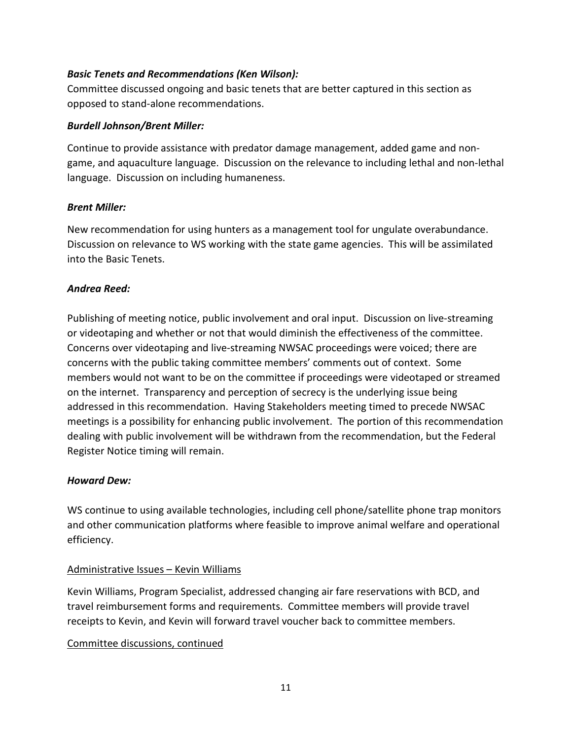### *Basic Tenets and Recommendations (Ken Wilson):*

Committee discussed ongoing and basic tenets that are better captured in this section as opposed to stand-alone recommendations.

#### *Burdell Johnson/Brent Miller:*

Continue to provide assistance with predator damage management, added game and nongame, and aquaculture language. Discussion on the relevance to including lethal and non-lethal language. Discussion on including humaneness.

### *Brent Miller:*

New recommendation for using hunters as a management tool for ungulate overabundance. Discussion on relevance to WS working with the state game agencies. This will be assimilated into the Basic Tenets.

### *Andrea Reed:*

Publishing of meeting notice, public involvement and oral input. Discussion on live-streaming or videotaping and whether or not that would diminish the effectiveness of the committee. Concerns over videotaping and live-streaming NWSAC proceedings were voiced; there are concerns with the public taking committee members' comments out of context. Some members would not want to be on the committee if proceedings were videotaped or streamed on the internet. Transparency and perception of secrecy is the underlying issue being addressed in this recommendation. Having Stakeholders meeting timed to precede NWSAC meetings is a possibility for enhancing public involvement. The portion of this recommendation dealing with public involvement will be withdrawn from the recommendation, but the Federal Register Notice timing will remain.

# *Howard Dew:*

WS continue to using available technologies, including cell phone/satellite phone trap monitors and other communication platforms where feasible to improve animal welfare and operational efficiency.

# Administrative Issues – Kevin Williams

Kevin Williams, Program Specialist, addressed changing air fare reservations with BCD, and travel reimbursement forms and requirements. Committee members will provide travel receipts to Kevin, and Kevin will forward travel voucher back to committee members.

# Committee discussions, continued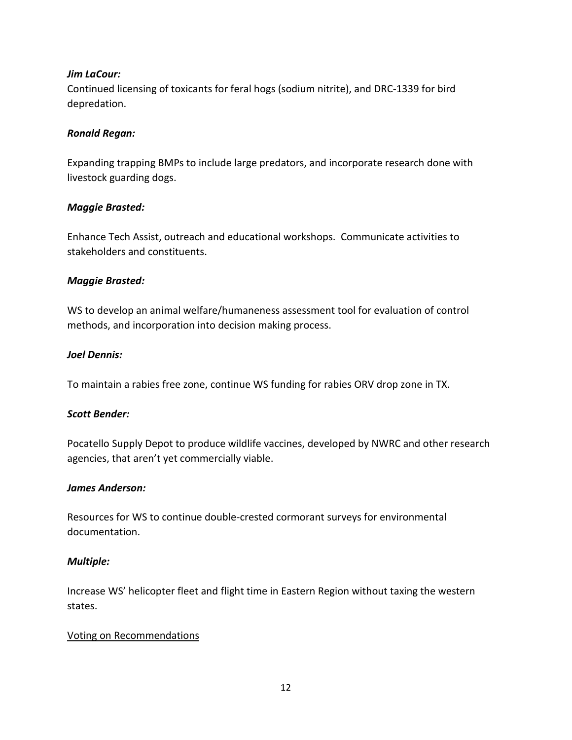# *Jim LaCour:*

Continued licensing of toxicants for feral hogs (sodium nitrite), and DRC-1339 for bird depredation.

#### *Ronald Regan:*

Expanding trapping BMPs to include large predators, and incorporate research done with livestock guarding dogs.

#### *Maggie Brasted:*

Enhance Tech Assist, outreach and educational workshops. Communicate activities to stakeholders and constituents.

### *Maggie Brasted:*

WS to develop an animal welfare/humaneness assessment tool for evaluation of control methods, and incorporation into decision making process.

### *Joel Dennis:*

To maintain a rabies free zone, continue WS funding for rabies ORV drop zone in TX.

# *Scott Bender:*

Pocatello Supply Depot to produce wildlife vaccines, developed by NWRC and other research agencies, that aren't yet commercially viable.

#### *James Anderson:*

Resources for WS to continue double-crested cormorant surveys for environmental documentation.

#### *Multiple:*

Increase WS' helicopter fleet and flight time in Eastern Region without taxing the western states.

#### Voting on Recommendations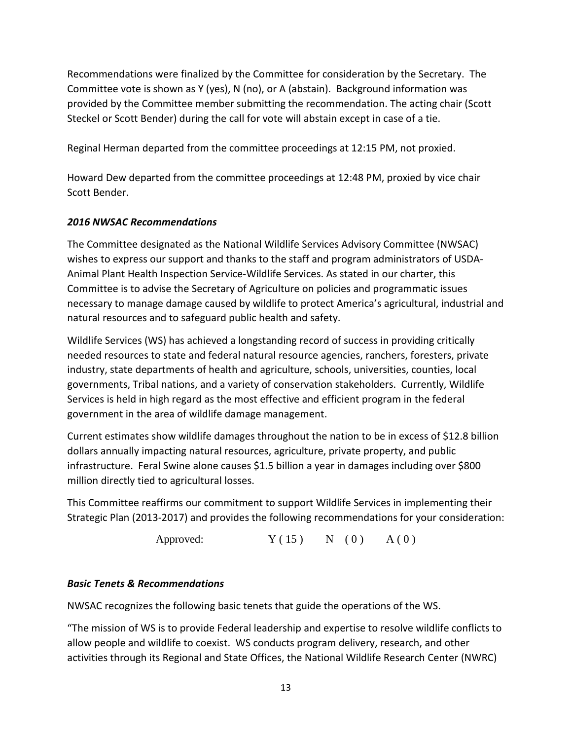Recommendations were finalized by the Committee for consideration by the Secretary. The Committee vote is shown as Y (yes), N (no), or A (abstain). Background information was provided by the Committee member submitting the recommendation. The acting chair (Scott Steckel or Scott Bender) during the call for vote will abstain except in case of a tie.

Reginal Herman departed from the committee proceedings at 12:15 PM, not proxied.

Howard Dew departed from the committee proceedings at 12:48 PM, proxied by vice chair Scott Bender.

# *2016 NWSAC Recommendations*

The Committee designated as the National Wildlife Services Advisory Committee (NWSAC) wishes to express our support and thanks to the staff and program administrators of USDA-Animal Plant Health Inspection Service-Wildlife Services. As stated in our charter, this Committee is to advise the Secretary of Agriculture on policies and programmatic issues necessary to manage damage caused by wildlife to protect America's agricultural, industrial and natural resources and to safeguard public health and safety.

Wildlife Services (WS) has achieved a longstanding record of success in providing critically needed resources to state and federal natural resource agencies, ranchers, foresters, private industry, state departments of health and agriculture, schools, universities, counties, local governments, Tribal nations, and a variety of conservation stakeholders. Currently, Wildlife Services is held in high regard as the most effective and efficient program in the federal government in the area of wildlife damage management.

Current estimates show wildlife damages throughout the nation to be in excess of \$12.8 billion dollars annually impacting natural resources, agriculture, private property, and public infrastructure. Feral Swine alone causes \$1.5 billion a year in damages including over \$800 million directly tied to agricultural losses.

This Committee reaffirms our commitment to support Wildlife Services in implementing their Strategic Plan (2013-2017) and provides the following recommendations for your consideration:

Approved:  $Y(15)$  N (0)  $A(0)$ 

# *Basic Tenets & Recommendations*

NWSAC recognizes the following basic tenets that guide the operations of the WS.

"The mission of WS is to provide Federal leadership and expertise to resolve wildlife conflicts to allow people and wildlife to coexist. WS conducts program delivery, research, and other activities through its Regional and State Offices, the National Wildlife Research Center (NWRC)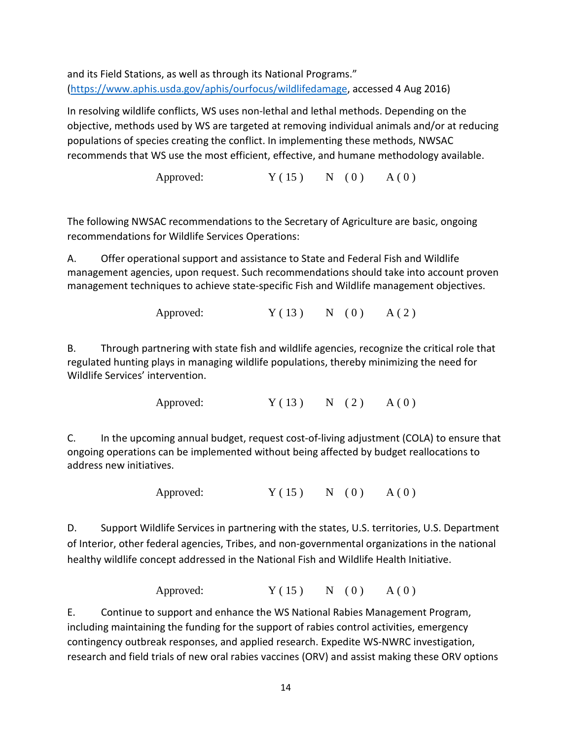and its Field Stations, as well as through its National Programs." [\(https://www.aphis.usda.gov/aphis/ourfocus/wildlifedamage,](https://www.aphis.usda.gov/aphis/ourfocus/wildlifedamage) accessed 4 Aug 2016)

In resolving wildlife conflicts, WS uses non-lethal and lethal methods. Depending on the objective, methods used by WS are targeted at removing individual animals and/or at reducing populations of species creating the conflict. In implementing these methods, NWSAC recommends that WS use the most efficient, effective, and humane methodology available.

Approved:  $Y(15)$  N (0)  $A(0)$ 

The following NWSAC recommendations to the Secretary of Agriculture are basic, ongoing recommendations for Wildlife Services Operations:

A. Offer operational support and assistance to State and Federal Fish and Wildlife management agencies, upon request. Such recommendations should take into account proven management techniques to achieve state-specific Fish and Wildlife management objectives.

Approved:  $Y(13)$  N (0) A(2)

B. Through partnering with state fish and wildlife agencies, recognize the critical role that regulated hunting plays in managing wildlife populations, thereby minimizing the need for Wildlife Services' intervention.

Approved:  $Y(13)$  N (2)  $A(0)$ 

C. In the upcoming annual budget, request cost-of-living adjustment (COLA) to ensure that ongoing operations can be implemented without being affected by budget reallocations to address new initiatives.

Approved:  $Y(15)$  N (0)  $A(0)$ 

D. Support Wildlife Services in partnering with the states, U.S. territories, U.S. Department of Interior, other federal agencies, Tribes, and non-governmental organizations in the national healthy wildlife concept addressed in the National Fish and Wildlife Health Initiative.

Approved:  $Y(15)$  N (0) A (0)

E. Continue to support and enhance the WS National Rabies Management Program, including maintaining the funding for the support of rabies control activities, emergency contingency outbreak responses, and applied research. Expedite WS-NWRC investigation, research and field trials of new oral rabies vaccines (ORV) and assist making these ORV options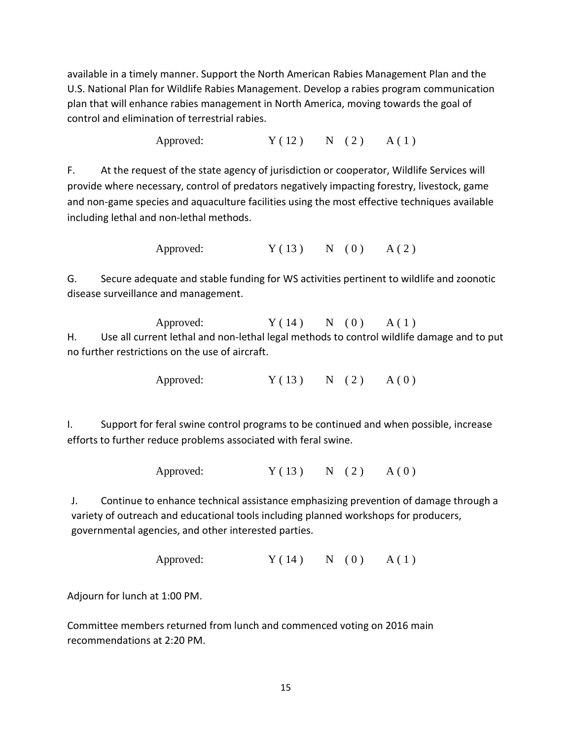available in a timely manner. Support the North American Rabies Management Plan and the U.S. National Plan for Wildlife Rabies Management. Develop a rabies program communication plan that will enhance rabies management in North America, moving towards the goal of control and elimination of terrestrial rabies.

Approved:  $Y(12)$  N (2) A(1)

F. At the request of the state agency of jurisdiction or cooperator, Wildlife Services will provide where necessary, control of predators negatively impacting forestry, livestock, game and non-game species and aquaculture facilities using the most effective techniques available including lethal and non-lethal methods.

Approved:  $Y(13)$  N (0) A (2)

G. Secure adequate and stable funding for WS activities pertinent to wildlife and zoonotic disease surveillance and management.

Approved:  $Y(14)$  N (0) A(1) H. Use all current lethal and non-lethal legal methods to control wildlife damage and to put no further restrictions on the use of aircraft.

Approved:  $Y(13)$  N (2)  $A(0)$ 

I. Support for feral swine control programs to be continued and when possible, increase efforts to further reduce problems associated with feral swine.

Approved:  $Y(13)$  N (2)  $A(0)$ 

J. Continue to enhance technical assistance emphasizing prevention of damage through a variety of outreach and educational tools including planned workshops for producers, governmental agencies, and other interested parties.

```
Approved: Y(14) N (0) A (1)
```
Adjourn for lunch at 1:00 PM.

Committee members returned from lunch and commenced voting on 2016 main recommendations at 2:20 PM.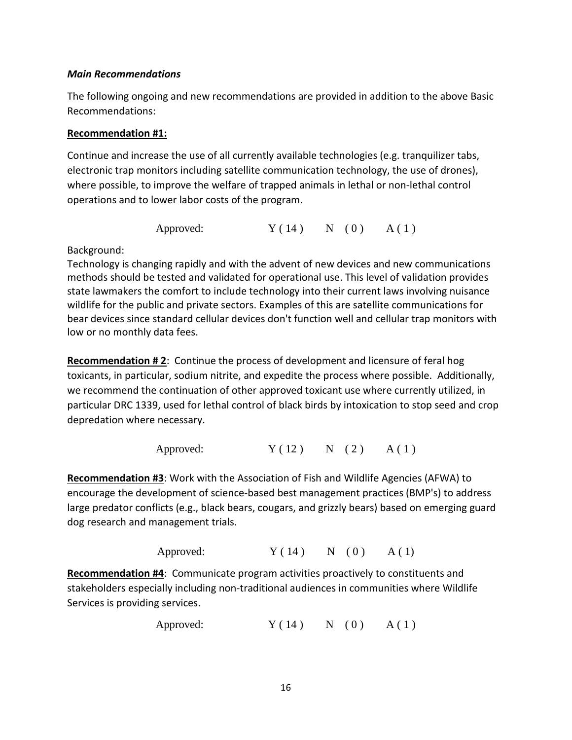#### *Main Recommendations*

The following ongoing and new recommendations are provided in addition to the above Basic Recommendations:

## **Recommendation #1:**

Continue and increase the use of all currently available technologies (e.g. tranquilizer tabs, electronic trap monitors including satellite communication technology, the use of drones), where possible, to improve the welfare of trapped animals in lethal or non-lethal control operations and to lower labor costs of the program.

Approved:  $Y(14)$  N (0) A(1)

### Background:

Technology is changing rapidly and with the advent of new devices and new communications methods should be tested and validated for operational use. This level of validation provides state lawmakers the comfort to include technology into their current laws involving nuisance wildlife for the public and private sectors. Examples of this are satellite communications for bear devices since standard cellular devices don't function well and cellular trap monitors with low or no monthly data fees.

**Recommendation # 2**: Continue the process of development and licensure of feral hog toxicants, in particular, sodium nitrite, and expedite the process where possible. Additionally, we recommend the continuation of other approved toxicant use where currently utilized, in particular DRC 1339, used for lethal control of black birds by intoxication to stop seed and crop depredation where necessary.

Approved:  $Y(12)$  N (2) A(1)

**Recommendation #3**: Work with the Association of Fish and Wildlife Agencies (AFWA) to encourage the development of science-based best management practices (BMP's) to address large predator conflicts (e.g., black bears, cougars, and grizzly bears) based on emerging guard dog research and management trials.

Approved:  $Y(14)$  N (0) A (1)

**Recommendation #4**: Communicate program activities proactively to constituents and stakeholders especially including non-traditional audiences in communities where Wildlife Services is providing services.

```
Approved: Y(14) N (0) A(1)
```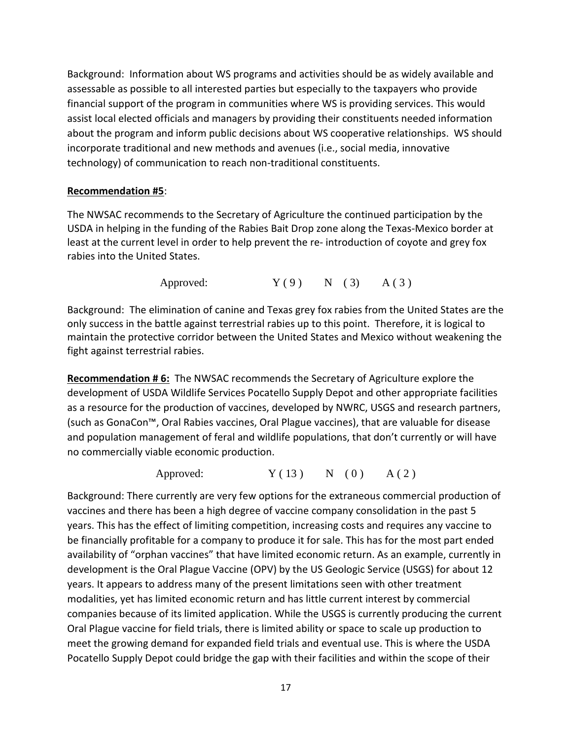Background: Information about WS programs and activities should be as widely available and assessable as possible to all interested parties but especially to the taxpayers who provide financial support of the program in communities where WS is providing services. This would assist local elected officials and managers by providing their constituents needed information about the program and inform public decisions about WS cooperative relationships. WS should incorporate traditional and new methods and avenues (i.e., social media, innovative technology) of communication to reach non-traditional constituents.

### **Recommendation #5**:

The NWSAC recommends to the Secretary of Agriculture the continued participation by the USDA in helping in the funding of the Rabies Bait Drop zone along the Texas-Mexico border at least at the current level in order to help prevent the re- introduction of coyote and grey fox rabies into the United States.

Approved:  $Y(9)$  N (3) A (3)

Background: The elimination of canine and Texas grey fox rabies from the United States are the only success in the battle against terrestrial rabies up to this point. Therefore, it is logical to maintain the protective corridor between the United States and Mexico without weakening the fight against terrestrial rabies.

**Recommendation # 6:** The NWSAC recommends the Secretary of Agriculture explore the development of USDA Wildlife Services Pocatello Supply Depot and other appropriate facilities as a resource for the production of vaccines, developed by NWRC, USGS and research partners, (such as GonaCon™, Oral Rabies vaccines, Oral Plague vaccines), that are valuable for disease and population management of feral and wildlife populations, that don't currently or will have no commercially viable economic production.

Approved:  $Y(13)$  N (0) A(2)

Background: There currently are very few options for the extraneous commercial production of vaccines and there has been a high degree of vaccine company consolidation in the past 5 years. This has the effect of limiting competition, increasing costs and requires any vaccine to be financially profitable for a company to produce it for sale. This has for the most part ended availability of "orphan vaccines" that have limited economic return. As an example, currently in development is the Oral Plague Vaccine (OPV) by the US Geologic Service (USGS) for about 12 years. It appears to address many of the present limitations seen with other treatment modalities, yet has limited economic return and has little current interest by commercial companies because of its limited application. While the USGS is currently producing the current Oral Plague vaccine for field trials, there is limited ability or space to scale up production to meet the growing demand for expanded field trials and eventual use. This is where the USDA Pocatello Supply Depot could bridge the gap with their facilities and within the scope of their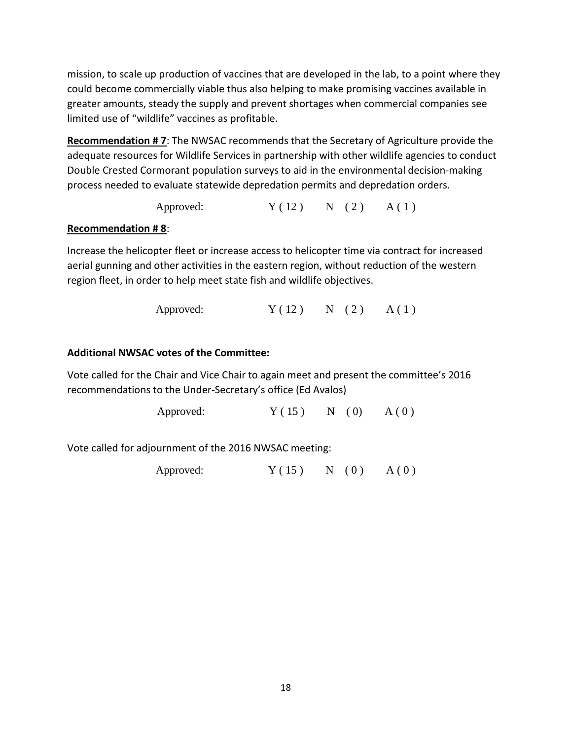mission, to scale up production of vaccines that are developed in the lab, to a point where they could become commercially viable thus also helping to make promising vaccines available in greater amounts, steady the supply and prevent shortages when commercial companies see limited use of "wildlife" vaccines as profitable.

**Recommendation # 7**: The NWSAC recommends that the Secretary of Agriculture provide the adequate resources for Wildlife Services in partnership with other wildlife agencies to conduct Double Crested Cormorant population surveys to aid in the environmental decision-making process needed to evaluate statewide depredation permits and depredation orders.

Approved:  $Y(12)$  N (2)  $A(1)$ 

# **Recommendation # 8**:

Increase the helicopter fleet or increase access to helicopter time via contract for increased aerial gunning and other activities in the eastern region, without reduction of the western region fleet, in order to help meet state fish and wildlife objectives.

Approved:  $Y(12)$  N (2)  $A(1)$ 

# **Additional NWSAC votes of the Committee:**

Vote called for the Chair and Vice Chair to again meet and present the committee's 2016 recommendations to the Under-Secretary's office (Ed Avalos)

Approved:  $Y ( 15 )$  N (0) A (0)

Vote called for adjournment of the 2016 NWSAC meeting:

Approved:  $Y(15)$  N (0)  $A(0)$